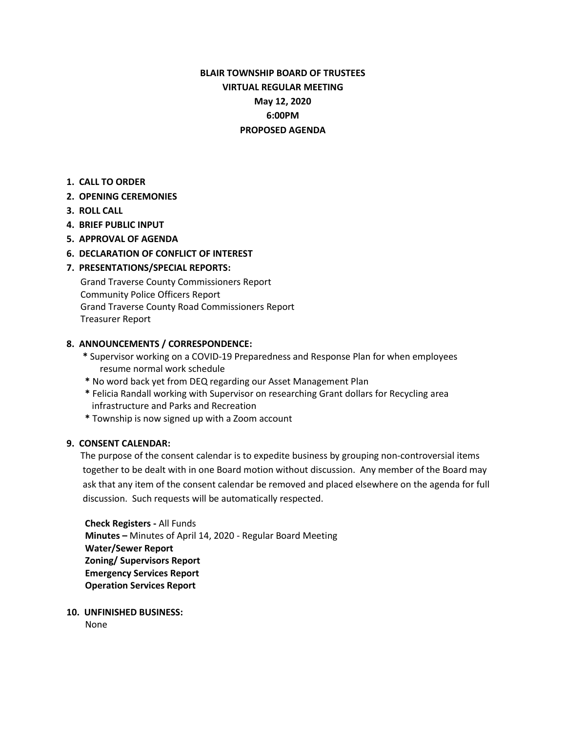# **BLAIR TOWNSHIP BOARD OF TRUSTEES VIRTUAL REGULAR MEETING May 12, 2020 6:00PM PROPOSED AGENDA**

**1. CALL TO ORDER**

## **2. OPENING CEREMONIES**

- **3. ROLL CALL**
- **4. BRIEF PUBLIC INPUT**
- **5. APPROVAL OF AGENDA**
- **6. DECLARATION OF CONFLICT OF INTEREST**

## **7. PRESENTATIONS/SPECIAL REPORTS:**

Grand Traverse County Commissioners Report Community Police Officers Report Grand Traverse County Road Commissioners Report Treasurer Report

## **8. ANNOUNCEMENTS / CORRESPONDENCE:**

- **\*** Supervisor working on a COVID-19 Preparedness and Response Plan for when employees resume normal work schedule
- **\*** No word back yet from DEQ regarding our Asset Management Plan
- **\*** Felicia Randall working with Supervisor on researching Grant dollars for Recycling area infrastructure and Parks and Recreation
- **\*** Township is now signed up with a Zoom account

#### **9. CONSENT CALENDAR:**

The purpose of the consent calendar is to expedite business by grouping non-controversial items together to be dealt with in one Board motion without discussion. Any member of the Board may ask that any item of the consent calendar be removed and placed elsewhere on the agenda for full discussion. Such requests will be automatically respected.

 **Check Registers -** All Funds **Minutes –** Minutes of April 14, 2020 - Regular Board Meeting **Water/Sewer Report Zoning/ Supervisors Report Emergency Services Report Operation Services Report**

**10. UNFINISHED BUSINESS:**

None